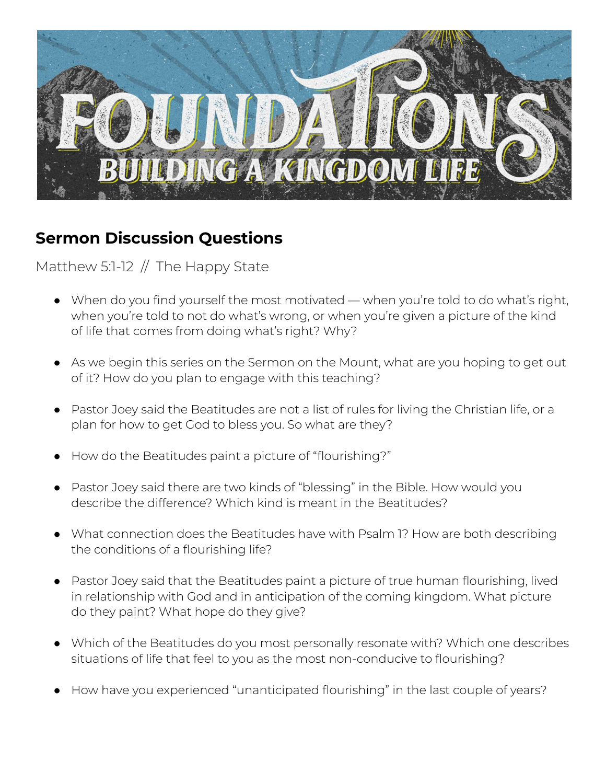

## **Sermon Discussion Questions**

## Matthew 5:1-12 // The Happy State

- When do you find yourself the most motivated when you're told to do what's right, when you're told to not do what's wrong, or when you're given a picture of the kind of life that comes from doing what's right? Why?
- As we begin this series on the Sermon on the Mount, what are you hoping to get out of it? How do you plan to engage with this teaching?
- Pastor Joey said the Beatitudes are not a list of rules for living the Christian life, or a plan for how to get God to bless you. So what are they?
- How do the Beatitudes paint a picture of "flourishing?"
- Pastor Joey said there are two kinds of "blessing" in the Bible. How would you describe the difference? Which kind is meant in the Beatitudes?
- What connection does the Beatitudes have with Psalm 1? How are both describing the conditions of a flourishing life?
- Pastor Joey said that the Beatitudes paint a picture of true human flourishing, lived in relationship with God and in anticipation of the coming kingdom. What picture do they paint? What hope do they give?
- Which of the Beatitudes do you most personally resonate with? Which one describes situations of life that feel to you as the most non-conducive to flourishing?
- How have you experienced "unanticipated flourishing" in the last couple of years?